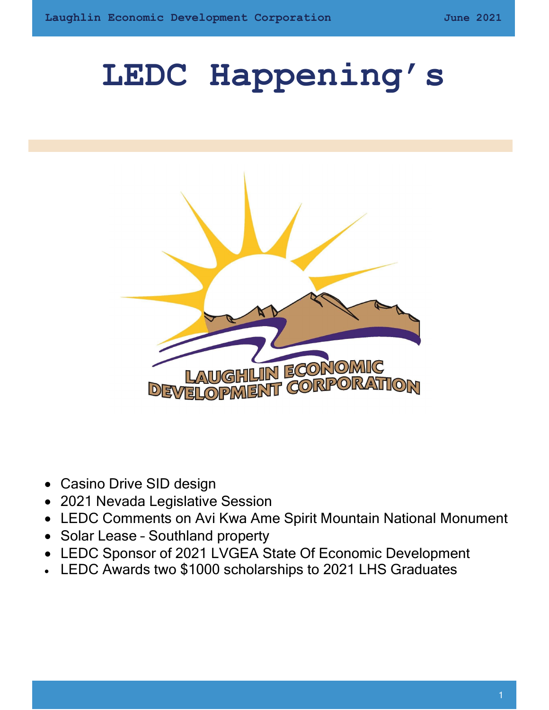# LEDC Happening's



- Casino Drive SID design
- 2021 Nevada Legislative Session
- LEDC Comments on Avi Kwa Ame Spirit Mountain National Monument
- Solar Lease Southland property
- LEDC Sponsor of 2021 LVGEA State Of Economic Development
- LEDC Awards two \$1000 scholarships to 2021 LHS Graduates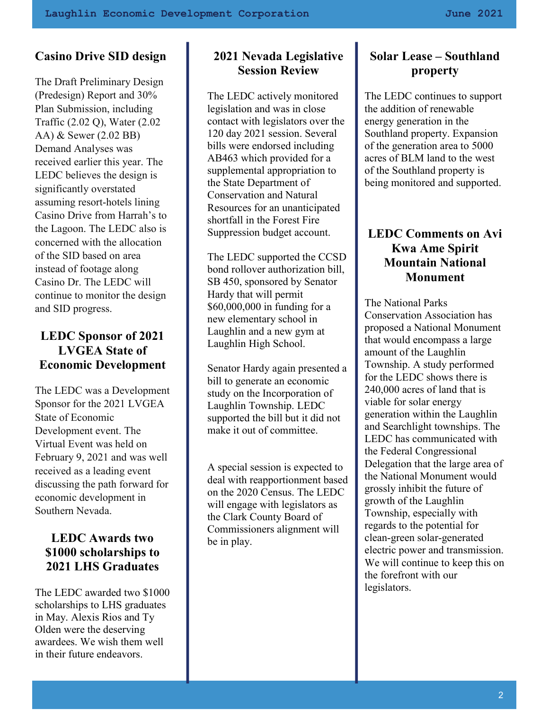# Casino Drive SID design

The Draft Preliminary Design (Predesign) Report and 30% Plan Submission, including Traffic (2.02 Q), Water (2.02 AA) & Sewer (2.02 BB) Demand Analyses was received earlier this year. The LEDC believes the design is significantly overstated assuming resort-hotels lining Casino Drive from Harrah's to the Lagoon. The LEDC also is concerned with the allocation of the SID based on area instead of footage along Casino Dr. The LEDC will continue to monitor the design and SID progress.

## LEDC Sponsor of 2021 LVGEA State of Economic Development

The LEDC was a Development Sponsor for the 2021 LVGEA State of Economic Development event. The Virtual Event was held on February 9, 2021 and was well received as a leading event discussing the path forward for economic development in Southern Nevada.

## LEDC Awards two \$1000 scholarships to 2021 LHS Graduates

The LEDC awarded two \$1000 scholarships to LHS graduates in May. Alexis Rios and Ty Olden were the deserving awardees. We wish them well in their future endeavors.

# 2021 Nevada Legislative Session Review

The LEDC actively monitored legislation and was in close contact with legislators over the 120 day 2021 session. Several bills were endorsed including AB463 which provided for a supplemental appropriation to the State Department of Conservation and Natural Resources for an unanticipated shortfall in the Forest Fire Suppression budget account.

The LEDC supported the CCSD bond rollover authorization bill, SB 450, sponsored by Senator Hardy that will permit \$60,000,000 in funding for a new elementary school in Laughlin and a new gym at Laughlin High School.

Senator Hardy again presented a bill to generate an economic study on the Incorporation of Laughlin Township. LEDC supported the bill but it did not make it out of committee.

A special session is expected to deal with reapportionment based on the 2020 Census. The LEDC will engage with legislators as the Clark County Board of Commissioners alignment will be in play.

### Solar Lease – Southland property

The LEDC continues to support the addition of renewable energy generation in the Southland property. Expansion of the generation area to 5000 acres of BLM land to the west of the Southland property is being monitored and supported.

#### LEDC Comments on Avi Kwa Ame Spirit Mountain National Monument

The National Parks Conservation Association has proposed a National Monument that would encompass a large amount of the Laughlin Township. A study performed for the LEDC shows there is 240,000 acres of land that is viable for solar energy generation within the Laughlin and Searchlight townships. The LEDC has communicated with the Federal Congressional Delegation that the large area of the National Monument would grossly inhibit the future of growth of the Laughlin Township, especially with regards to the potential for clean-green solar-generated electric power and transmission. We will continue to keep this on the forefront with our legislators.